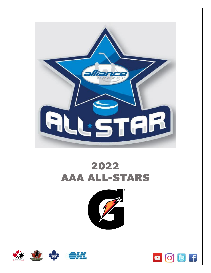

#### 2022 AAA ALL-STARS





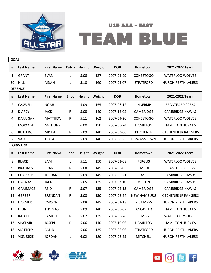

## **AAA - EAST** RUSTAR TEAM BLUE

|    | <b>GOAL</b>      |                   |             |               |        |            |                    |                           |  |  |  |
|----|------------------|-------------------|-------------|---------------|--------|------------|--------------------|---------------------------|--|--|--|
| #  | <b>Last Name</b> | <b>First Name</b> | Catch       | <b>Height</b> | Weight | <b>DOB</b> | Hometown           | 2021-2022 Team            |  |  |  |
| 1  | <b>GRANT</b>     | <b>EVAN</b>       | L           | 5.08          | 127    | 2007-05-29 | <b>CONESTOGO</b>   | <b>WATERLOO WOLVES</b>    |  |  |  |
| 30 | <b>HILL</b>      | <b>AIDAN</b>      | L           | 5.10          | 160    | 2007-05-07 | <b>STRATFORD</b>   | <b>HURON PERTH LAKERS</b> |  |  |  |
|    | <b>DEFENCE</b>   |                   |             |               |        |            |                    |                           |  |  |  |
| #  | <b>Last Name</b> | <b>First Name</b> | Shot        | <b>Height</b> | Weight | <b>DOB</b> | Hometown           | 2021-2022 Team            |  |  |  |
| 2  | <b>CASWELL</b>   | <b>NOAH</b>       | L           | 5.09          | 155    | 2007-06-12 | <b>INNERKIP</b>    | <b>BRANTFORD 99ERS</b>    |  |  |  |
| 3  | D'ARCY           | <b>JACK</b>       | R           | 5.08          | 140    | 2007-12-02 | <b>CAMBRIDGE</b>   | <b>CAMBRIDGE HAWKS</b>    |  |  |  |
| 4  | DARRIGAN         | <b>MATTHEW</b>    | R           | 5.11          | 162    | 2007-04-26 | <b>CONESTOGO</b>   | <b>WATERLOO WOLVES</b>    |  |  |  |
| 5  | <b>MORCONE</b>   | <b>ANTHONY</b>    | L           | 6.00          | 150    | 2007-06-24 | <b>HAMILTON</b>    | <b>HAMILTON HUSKIES</b>   |  |  |  |
| 6  | <b>RUTLEDGE</b>  | <b>MICHAEL</b>    | R           | 5.09          | 140    | 2007-03-06 | <b>KITCHENER</b>   | KITCHENER JR RANGERS      |  |  |  |
| 7  | <b>VADER</b>     | <b>TEAGUE</b>     | L           | 5.09          | 140    | 2007-08-23 | <b>GOWANSTOWN</b>  | <b>HURON PERTH LAKERS</b> |  |  |  |
|    | <b>FORWARD</b>   |                   |             |               |        |            |                    |                           |  |  |  |
| #  | <b>Last Name</b> | <b>First Name</b> | <b>Shot</b> | Height        | Weight | <b>DOB</b> | Hometown           | 2021-2022 Team            |  |  |  |
| 8  | <b>BLACK</b>     | SAM               | L           | 5.11          | 150    | 2007-03-08 | <b>FERGUS</b>      | <b>WATERLOO WOLVES</b>    |  |  |  |
| 9  | <b>BRADACS</b>   | <b>EVAN</b>       | R           | 5.08          | 145    | 2007-06-03 | <b>SIMCOE</b>      | <b>BRANTFORD 99ERS</b>    |  |  |  |
| 10 | <b>CHARRON</b>   | <b>JORDAN</b>     | R           | 5.09          | 145    | 2007-06-21 | <b>AYR</b>         | <b>CAMBRIDGE HAWKS</b>    |  |  |  |
| 11 | <b>GALWAY</b>    | <b>JACK</b>       | L           | 5.05          | 125    | 2007-07-10 | <b>MILTON</b>      | <b>CAMBRIDGE HAWKS</b>    |  |  |  |
| 12 | GAMMAGE          | <b>REID</b>       | R           | 5.07          | 135    | 2007-04-15 | <b>CAMBRIDGE</b>   | <b>CAMBRIDGE HAWKS</b>    |  |  |  |
| 13 | <b>GERBER</b>    | <b>BRENDAN</b>    | R           | 5.08          | 150    | 2007-02-24 | <b>NEW HAMBURG</b> | KITCHENER JR RANGERS      |  |  |  |
| 14 | <b>HARMER</b>    | CARSON            | L           | 5.08          | 145    | 2007-01-13 | <b>ST. MARYS</b>   | <b>HURON PERTH LAKERS</b> |  |  |  |
| 15 | <b>LEONE</b>     | <b>THOMAS</b>     |             | 5.09          | 140    | 2007-08-02 | ANCASTER           | <b>HAMILTON HUSKIES</b>   |  |  |  |
| 16 | <b>RATCLIFFE</b> | SAMUEL            | R           | 5.07          | 135    | 2007-05-26 | <b>ELMIRA</b>      | <b>WATERLOO WOLVES</b>    |  |  |  |
| 17 | <b>SINCLAIR</b>  | <b>JOSEPH</b>     | R           | 5.06          | 140    | 2007-10-06 | <b>HAMILTON</b>    | <b>HAMILTON HUSKIES</b>   |  |  |  |
| 18 | <b>SLATTERY</b>  | <b>COLIN</b>      | L           | 5.06          | 135    | 2007-06-06 | <b>STRATFORD</b>   | <b>HURON PERTH LAKERS</b> |  |  |  |
| 19 | <b>VISNESKIE</b> | <b>JORDAN</b>     | L           | 6.02          | 180    | 2007-08-29 | <b>MITCHELL</b>    | <b>HURON PERTH LAKERS</b> |  |  |  |







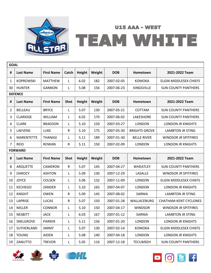

## U15 AAA - WEST **EAM WHITE**

|    | <b>GOAL</b>       |                   |             |               |        |            |                      |                               |  |  |  |
|----|-------------------|-------------------|-------------|---------------|--------|------------|----------------------|-------------------------------|--|--|--|
| #  | <b>Last Name</b>  | <b>First Name</b> | Catch       | <b>Height</b> | Weight | <b>DOB</b> | Hometown             | 2021-2022 Team                |  |  |  |
| 1  | <b>KOPROWSKI</b>  | <b>MATTHEW</b>    | L           | 6.02          | 182    | 2007-02-05 | <b>KOMOKA</b>        | <b>ELGIN MIDDLESEX CHIEFS</b> |  |  |  |
| 30 | <b>HUNTER</b>     | <b>GANNON</b>     | L           | 5.08          | 156    | 2007-06-23 | <b>KINGSVILLE</b>    | <b>SUN COUNTY PANTHERS</b>    |  |  |  |
|    | <b>DEFENCE</b>    |                   |             |               |        |            |                      |                               |  |  |  |
| #  | <b>Last Name</b>  | <b>First Name</b> | <b>Shot</b> | <b>Height</b> | Weight | <b>DOB</b> | Hometown             | 2021-2022 Team                |  |  |  |
| 2  | <b>BELLEAU</b>    | <b>BRYCE</b>      | L           | 5.07          | 130    | 2007-05-21 | COTTAM               | <b>SUN COUNTY PANTHERS</b>    |  |  |  |
| 3  | <b>CLARIDGE</b>   | <b>WILLIAM</b>    | L           | 6.02          | 170    | 2007-06-02 | LAKESHORE            | <b>SUN COUNTY PANTHERS</b>    |  |  |  |
| 4  | <b>CLARK</b>      | <b>BRAEDON</b>    | L           | 5.10          | 150    | 2007-03-27 | <b>LONDON</b>        | <b>LONDON JR KNIGHTS</b>      |  |  |  |
| 5  | <b>LAEVENS</b>    | <b>LUKE</b>       | R           | 5.10          | 175    | 2007-05-30 | <b>BRIGHTS GROVE</b> | <b>LAMBTON JR STING</b>       |  |  |  |
| 6  | <b>MARENTETTE</b> | <b>THANASI</b>    | L           | 5.11          | 189    | 2007-01-30 | <b>BELLE RIVER</b>   | <b>WINDSOR JR SPITFIRES</b>   |  |  |  |
| 7  | <b>REID</b>       | <b>ROWAN</b>      | ${\sf R}$   | 5.11          | 150    | 2007-02-09 | <b>LONDON</b>        | <b>LONDON JR KNIGHTS</b>      |  |  |  |
|    | <b>FORWARD</b>    |                   |             |               |        |            |                      |                               |  |  |  |
| Ħ  | <b>Last Name</b>  | <b>First Name</b> | <b>Shot</b> | Height        | Weight | <b>DOB</b> | Hometown             | 2021-2022 Team                |  |  |  |
| 8  | <b>ARQUETTE</b>   | <b>CAMERON</b>    | ${\sf R}$   | 5.07          | 145    | 2007-04-27 | <b>WHEATLEY</b>      | <b>SUN COUNTY PANTHERS</b>    |  |  |  |
| 9  | <b>DAROCY</b>     | <b>ASHTON</b>     | L           | 5.09          | 130    | 2007-12-29 | LASALLE              | <b>WINDSOR JR SPITFIRES</b>   |  |  |  |
| 10 | <b>JOYCE</b>      |                   |             |               |        |            |                      |                               |  |  |  |
|    |                   | <b>COLSEN</b>     | L           | 5.06          | 132    | 2007-11-09 | <b>LONDON</b>        | <b>ELGIN MIDDLESEX CHIEFS</b> |  |  |  |
| 11 | <b>KECHEGO</b>    | <b>ZANDER</b>     | L           | 5.10          | 165    | 2007-04-07 | <b>LONDON</b>        | <b>LONDON JR KNIGHTS</b>      |  |  |  |
| 12 | <b>KNIGHT</b>     | <b>OWEN</b>       | ${\sf R}$   | 5.09          | 145    | 2007-08-02 | SARNIA               | <b>LAMBTON JR STING</b>       |  |  |  |
| 13 | LAPRISE           | <b>LUCAS</b>      | R           | 5.07          | 150    | 2007-01-28 | WALLACEBURG          | <b>CHATHAM-KENT CYCLONES</b>  |  |  |  |
| 14 | <b>MILLER</b>     | <b>CONNOR</b>     | L           | 5.10          | 150    | 2007-04-17 | <b>WINDSOR</b>       | <b>WINDSOR JR SPITFIRES</b>   |  |  |  |
| 15 | <b>NESBITT</b>    | <b>JACK</b>       | L           | 6.03          | 167    | 2007-01-12 | SARNIA               | LAMBTON JR STING              |  |  |  |
| 16 | SNELGROVE         | <b>PARKER</b>     | L           | 5.11          | 156    | 2007-01-20 | <b>LONDON</b>        | <b>LONDON JR KNIGHTS</b>      |  |  |  |
| 17 | SUTHERLAND        | <b>JIMMY</b>      | L           | 5.07          | 130    | 2007-02-14 | <b>KOMOKA</b>        | <b>ELGIN MIDDLESEX CHIEFS</b> |  |  |  |
| 18 | <b>YOUNG</b>      | <b>AIDEN</b>      | L           | 5.08          | 140    | 2007-04-18 | <b>LONDON</b>        | <b>LONDON JR KNIGHTS</b>      |  |  |  |







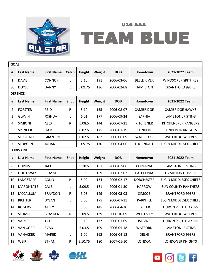

# U16 AAA **TEAM BLUE**

|    | <b>GOAL</b>      |                   |              |               |        |            |                    |                               |  |  |  |  |
|----|------------------|-------------------|--------------|---------------|--------|------------|--------------------|-------------------------------|--|--|--|--|
| #  | <b>Last Name</b> | <b>First Name</b> | Catch        | <b>Height</b> | Weight | <b>DOB</b> | Hometown           | 2021-2022 Team                |  |  |  |  |
| 1  | <b>DAVIS</b>     | <b>CONNOR</b>     | L            | 5.10          | 191    | 2006-03-06 | <b>BELLE RIVER</b> | <b>WINDSOR JR SPITFIRES</b>   |  |  |  |  |
| 30 | <b>DOYLE</b>     | <b>DANNY</b>      | L            | 5.09.75       | 136    | 2006-02-08 | <b>HAMILTON</b>    | <b>BRANTFORD 99ERS</b>        |  |  |  |  |
|    | <b>DEFENCE</b>   |                   |              |               |        |            |                    |                               |  |  |  |  |
| #  | <b>Last Name</b> | <b>First Name</b> | <b>Shot</b>  | <b>Height</b> | Weight | <b>DOB</b> | Hometown           | 2021-2022 Team                |  |  |  |  |
| 2  | <b>FORSTER</b>   | <b>REID</b>       | $\mathsf{R}$ | 5.10          | 155    | 2006-08-07 | CAMBRIDGE          | <b>CAMBRIDGE HAWKS</b>        |  |  |  |  |
| 3  | <b>GLAVIN</b>    | <b>JOSHUA</b>     | L            | 6.01          | 177    | 2006-09-24 | SARNIA             | <b>LAMBTON JR STING</b>       |  |  |  |  |
| 4  | <b>SIMIONI</b>   | <b>ALEX</b>       | ${\sf R}$    | 5.08.5        | 144    | 2006-07-21 | <b>KITCHENER</b>   | KITCHENER JR RANGERS          |  |  |  |  |
| 5  | <b>SPENCER</b>   | <b>LIAM</b>       | L            | 6.02.5        | 175    | 2006-01-19 | <b>LONDON</b>      | <b>LONDON JR KNIGHTS</b>      |  |  |  |  |
| 6  | <b>STROHACK</b>  | <b>GRAYDEN</b>    | L            | 6.02.5        | 182    | 2006-06-09 | <b>WATERLOO</b>    | <b>WATERLOO WOLVES</b>        |  |  |  |  |
| 7  | <b>STUBGEN</b>   | <b>JULIAN</b>     | L            | 5.09.75       | 170    | 2006-04-06 | <b>THORNDALE</b>   | <b>ELGIN MIDDLESEX CHIEFS</b> |  |  |  |  |
|    | <b>FORWARD</b>   |                   |              |               |        |            |                    |                               |  |  |  |  |
| #  | <b>Last Name</b> | <b>First Name</b> | <b>Shot</b>  | <b>Height</b> | Weight | <b>DOB</b> | Hometown           | 2021-2022 Team                |  |  |  |  |
|    |                  |                   |              |               |        |            |                    |                               |  |  |  |  |
| 8  | <b>DUPUIS</b>    | <b>JACE</b>       | L            | 5.10.5        | 161    | 2006-07-06 | <b>CORUNNA</b>     | <b>LAMBTON JR STING</b>       |  |  |  |  |
| 9  | <b>HOLLOWAY</b>  | SHAYNE            | L            | 5.08          | 159    | 2006-02-02 | CALEDONIA          | <b>HAMILTON HUSKIES</b>       |  |  |  |  |
| 10 | LANGSTAFF        | <b>COLIN</b>      | ${\sf R}$    | 5.09          | 134    | 2006-02-17 | <b>DORCHESTER</b>  | <b>ELGIN MIDDLESEX CHIEFS</b> |  |  |  |  |
| 11 | <b>MARONTATE</b> | <b>CALE</b>       | L            | 5.09.5        | 161    | 2006-01-30 | <b>HARROW</b>      | <b>SUN COUNTY PANTHERS</b>    |  |  |  |  |
| 12 | <b>MCCALLUM</b>  | <b>BRAYDON</b>    | $\mathsf{R}$ | 5.08          | 149    | 2006-05-03 | <b>SIMCOE</b>      | <b>BRANTFORD 99ERS</b>        |  |  |  |  |
| 13 | <b>RICHTER</b>   | <b>DYLAN</b>      | L            | 5.08          | 175    | 2006-07-11 | <b>PARKHILL</b>    | <b>ELGIN MIDDLESEX CHIEFS</b> |  |  |  |  |
| 14 | <b>ROGERS</b>    | <b>ATLEY</b>      | L            | 5.08          | 145    | 2006-04-20 | <b>EXETER</b>      | <b>HURON PERTH LAKERS</b>     |  |  |  |  |
| 15 | <b>STUMPF</b>    | <b>BRAYDEN</b>    | R            | 5.09.5        | 139    | 2006-10-09 | WELLESLEY          | <b>WATERLOO WOLVES</b>        |  |  |  |  |
| 16 | VADER            | <b>TATE</b>       | L            | 5.10          | 177    | 2006-01-09 | <b>LISTOWEL</b>    | <b>HURON PERTH LAKERS</b>     |  |  |  |  |
| 17 | <b>VAN GORP</b>  | <b>EVAN</b>       | L            | 5.03.5        | 109    | 2006-05-18 | <b>WATFORD</b>     | <b>LAMBTON JR STING</b>       |  |  |  |  |
| 18 | VANACKER         | <b>MAREK</b>      | L            | 6.00          | 162    | 2006-04-12 | DELHI              | <b>BRANTFORD 99ERS</b>        |  |  |  |  |







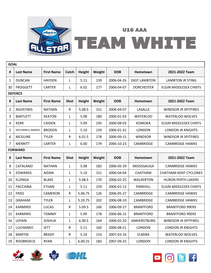

|                | <b>GOAL</b>      |                   |             |               |        |            |                     |                               |  |  |  |
|----------------|------------------|-------------------|-------------|---------------|--------|------------|---------------------|-------------------------------|--|--|--|
| #              | <b>Last Name</b> | <b>First Name</b> | Catch       | Height        | Weight | <b>DOB</b> | Hometown            | 2021-2022 Team                |  |  |  |
| 1              | <b>DUNCAN</b>    | <b>HAYDEN</b>     | L           | 5.11          | 159    | 2006-04-26 | <b>EAST LAMBTON</b> | <b>LAMBTON JR STING</b>       |  |  |  |
| 30             | <b>FROGGETT</b>  | <b>CARTER</b>     | L           | 6.02          | 177    | 2006-04-07 | <b>DORCHESTER</b>   | <b>ELGIN MIDDLESEX CHIEFS</b> |  |  |  |
| <b>DEFENCE</b> |                  |                   |             |               |        |            |                     |                               |  |  |  |
| #              | <b>Last Name</b> | <b>First Name</b> | <b>Shot</b> | <b>Height</b> | Weight | <b>DOB</b> | Hometown            | 2021-2022 Team                |  |  |  |
| 2              | <b>AGOSTINIS</b> | <b>NATHAN</b>     | $\mathsf R$ | 5.08.5        | 151    | 2006-04-07 | LASALLE             | <b>WINDSOR JR SPITFIRES</b>   |  |  |  |
| 3              | <b>BARTLETT</b>  | <b>KEATON</b>     | L           | 5.08          | 180    | 2006-01-03 | <b>WATERLOO</b>     | <b>WATERLOO WOLVES</b>        |  |  |  |
| 4              | <b>KERR</b>      | <b>CAIDEN</b>     | L           | 5.09          | 195    | 2006-08-03 | <b>KOMOKA</b>       | <b>ELGIN MIDDLESEX CHIEFS</b> |  |  |  |
| 5              | MCCONNELL-BARKER | <b>BRODEN</b>     | L           | 5.10          | 159    | 2006-01-31 | <b>LONDON</b>       | <b>LONDON JR KNIGHTS</b>      |  |  |  |
| 6              | <b>MCGUIRE</b>   | <b>TYLER</b>      | $\mathsf R$ | 6.01.5        | 178    | 2006-09-15 | <b>WINDSOR</b>      | <b>WINDSOR JR SPITFIRES</b>   |  |  |  |
| 7              | <b>MERRITT</b>   | <b>CARTER</b>     | L           | 6.00          | 179    | 2006-10-23 | <b>CAMBRIDGE</b>    | <b>CAMBRIDGE HAWKS</b>        |  |  |  |
|                | <b>FORWARD</b>   |                   |             |               |        |            |                     |                               |  |  |  |
| #              | <b>Last Name</b> |                   |             |               |        |            |                     |                               |  |  |  |
|                |                  | <b>First Name</b> | <b>Shot</b> | <b>Height</b> | Weight | <b>DOB</b> | Hometown            | 2021-2022 Team                |  |  |  |
| 8              | CATALANO         | <b>NATHAN</b>     | L           | 5.08          | 182    | 2006-05-29 | <b>MISSISSAUGA</b>  | <b>CAMBRIDGE HAWKS</b>        |  |  |  |
| 9              | <b>EDWARDS</b>   | <b>AIDAN</b>      | L           | 5.10          | 151    | 2006-04-04 | CHATHAM             | <b>CHATHAM-KENT CYCLONES</b>  |  |  |  |
| 10             | <b>ELZINGA</b>   | <b>BLAKE</b>      | L           | 5.08.5        | 170    | 2006-02-25 | <b>WALKERTON</b>    | <b>HURON PERTH LAKERS</b>     |  |  |  |
| 11             | <b>FACCHINA</b>  | <b>ETHAN</b>      | L           | 5.11          | 159    | 2006-01-12 | PARKHILL            | <b>ELGIN MIDDLESEX CHIEFS</b> |  |  |  |
| 12             | <b>FRIES</b>     | CAMERON           | $\mathsf R$ | 5.06.75       | 126    | 2006-05-27 | <b>CAMBRIDGE</b>    | <b>CAMBRIDGE HAWKS</b>        |  |  |  |
| 13             | <b>GRAHAM</b>    | <b>TYLER</b>      | L           | 5.10.75       | 202    | 2006-08-10 | <b>CAMBRIDGE</b>    | <b>CAMBRIDGE HAWKS</b>        |  |  |  |
| 14             | <b>KARMIRIS</b>  | <b>LUCAS</b>      | $\mathsf R$ | 5.09.5        | 160    | 2006-09-27 | <b>BRANTFORD</b>    | <b>BRANTFORD 99ERS</b>        |  |  |  |
| 15             | <b>KARMIRIS</b>  | <b>TOMMY</b>      | L           | 5.09          | 178    | 2006-06-15 | <b>BRANTFORD</b>    | <b>BRANTFORD 99ERS</b>        |  |  |  |
| 16             | <b>LEPAIN</b>    | <b>JOSHUA</b>     | L           | 6.00.5        | 164    | 2006-02-20 | AMHERSTBURG         | <b>WINDSOR JR SPITFIRES</b>   |  |  |  |
| 17             | LUCHANKO         | <b>JETT</b>       | R           | 5.11          | 160    | 2006-08-21 | <b>LONDON</b>       | <b>LONDON JR KNIGHTS</b>      |  |  |  |
| 18             | <b>MARTIN</b>    | <b>BRADY</b>      | R           | 5.10          | 153    | 2007-03-16 | <b>ELMIRA</b>       | <b>WATERLOO WOLVES</b>        |  |  |  |

DOBf





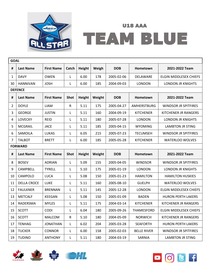

## U18 AAA RUSTAR TEAM BLUE

|                | <b>GOAL</b>        |                   |             |        |        |            |                    |                               |  |  |
|----------------|--------------------|-------------------|-------------|--------|--------|------------|--------------------|-------------------------------|--|--|
| #              | <b>Last Name</b>   | <b>First Name</b> | Catch       | Height | Weigh  | <b>DOB</b> | Hometown           | 2021-2022 Team                |  |  |
| 1              | <b>DAVY</b>        | <b>OWEN</b>       | L           | 6.00   | 178    | 2005-02-06 | <b>DELAWARE</b>    | <b>ELGIN MIDDLESEX CHIEFS</b> |  |  |
| 30             | <b>HANNIVAN</b>    | <b>JOSH</b>       | L           | 6.00   | 185    | 2004-09-03 | <b>LONDON</b>      | <b>LONDON JR KNIGHTS</b>      |  |  |
| <b>DEFENCE</b> |                    |                   |             |        |        |            |                    |                               |  |  |
| #              | <b>Last Name</b>   | <b>First Name</b> | <b>Shot</b> | Height | Weight | <b>DOB</b> | Hometown           | 2021-2022 Team                |  |  |
| 2              | <b>DOYLE</b>       | <b>LIAM</b>       | R           | 5.11   | 175    | 2005-04-27 | AMHERSTBURG        | <b>WINDSOR JR SPITFIRES</b>   |  |  |
| 3              | <b>GEORGE</b>      | <b>JUSTIN</b>     | L           | 5.11   | 160    | 2004-09-19 | <b>KITCHENER</b>   | KITCHENER JR RANGERS          |  |  |
| 4              | <b>LOVECKY</b>     | <b>REID</b>       | L           | 5.11   | 180    | 2005-07-28 | <b>LONDON</b>      | <b>LONDON JR KNIGHTS</b>      |  |  |
| 5              | <b>MCGRAIL</b>     | <b>JACE</b>       | L           | 5.11   | 185    | 2005-04-15 | <b>WYOMING</b>     | <b>LAMBTON JR STING</b>       |  |  |
| 6              | SAMOILA            | <b>LUKAS</b>      | L           | 6.05   | 215    | 2005-07-23 | <b>TECUMSEH</b>    | <b>WINDSOR JR SPITFIRES</b>   |  |  |
| 7              | <b>TALBOT</b>      | <b>BRETT</b>      | L           | 6.00   | 185    | 2005-05-28 | <b>KITCHENER</b>   | <b>WATERLOO WOLVES</b>        |  |  |
|                | <b>FORWARD</b>     |                   |             |        |        |            |                    |                               |  |  |
| #              | <b>Last Name</b>   | <b>First Name</b> | <b>Shot</b> | Height | Weight | <b>DOB</b> | Hometown           | 2021-2022 Team                |  |  |
| 8              | <b>BOSEV</b>       | <b>ADRIAN</b>     | L           | 5.09   | 155    | 2005-04-05 | <b>WINDSOR</b>     | <b>WINDSOR JR SPITFIRES</b>   |  |  |
| 9              | <b>CAMPBELL</b>    | <b>TYRELL</b>     | L           | 5.10   | 175    | 2005-01-19 | <b>LONDON</b>      | <b>LONDON JR KNIGHTS</b>      |  |  |
| 10             | CAMPOLO            | <b>LUCA</b>       | L           | 5.08   | 150    | 2005-01-23 | <b>HAMILTON</b>    | <b>HAMILTON HUSKIES</b>       |  |  |
| 11             | <b>DELLA CROCE</b> | <b>LUKE</b>       | L           | 5.11   | 160    | 2005-08-10 | <b>GUELPH</b>      | <b>WATERLOO WOLVES</b>        |  |  |
| 12             | <b>FAULKNER</b>    | <b>BRENNAN</b>    | L           | 5.11   | 145    | 2005-12-28 | <b>LONDON</b>      | <b>ELGIN MIDDLESEX CHIEFS</b> |  |  |
| 13             | <b>METCALF</b>     | <b>KEEGAN</b>     | L           | 5.08   | 150    | 2005-01-09 | <b>BADEN</b>       | <b>HURON PERTH LAKERS</b>     |  |  |
| 14             | RADERSMA           | <b>MYLES</b>      | L           | 5.11   | 175    | 2004-03-14 | <b>KITCHENER</b>   | KITCHENER JR RANGERS          |  |  |
| 15             | <b>SCOTT</b>       | <b>CODI</b>       | L           | 6.04   | 180    | 2005-09-26 | <b>THAMESFORD</b>  | <b>ELGIN MIDDLESEX CHIEFS</b> |  |  |
| 16             | <b>SCOTT</b>       | <b>MALCOM</b>     | R           | 5.10   | 180    | 2004-05-09 | <b>NORWICH</b>     | KITCHENER JR RANGERS          |  |  |
| 17             | <b>TENHAG</b>      | <b>JONATHAN</b>   | L           | 6.02   | 204    | 2005-03-28 | <b>SEAFORTH</b>    | <b>HURON PERTH LAKERS</b>     |  |  |
| 18             | <b>TUCKER</b>      | <b>CONNOR</b>     | L           | 6.00   | 158    | 2005-02-03 | <b>BELLE RIVER</b> | <b>WINDSOR JR SPITFIRES</b>   |  |  |
| 19             | <b>TUDINO</b>      | <b>ANTHONY</b>    | L           | 5.11   | 180    | 2004-03-19 | SARNIA             | <b>LAMBTON JR STING</b>       |  |  |







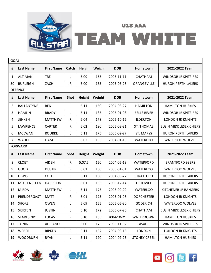

|    | <b>GOAL</b>       |                   |             |               |        |            |                     |                             |  |  |
|----|-------------------|-------------------|-------------|---------------|--------|------------|---------------------|-----------------------------|--|--|
| #  | <b>Last Name</b>  | <b>First Name</b> | Catch       | <b>Heigh</b>  | Weigh  | <b>DOB</b> | Hometown            | 2021-2022 Team              |  |  |
| 1  | <b>ALTIMAN</b>    | <b>TRE</b>        | L           | 5.09          | 155    | 2005-11-11 | <b>CHATHAM</b>      | <b>WINDSOR JR SPITFIRES</b> |  |  |
| 30 | <b>BURLEIGH</b>   | <b>ZACH</b>       | R           | 6.00          | 165    | 2005-06-28 | ORANGEVILLE         | <b>HURON PERTH LAKERS</b>   |  |  |
|    | <b>DEFENCE</b>    |                   |             |               |        |            |                     |                             |  |  |
| #  | <b>Last Name</b>  | <b>First Name</b> | <b>Shot</b> | <b>Height</b> | Weight | <b>DOB</b> | Hometown            | 2021-2022 Team              |  |  |
| 2  | <b>BALLANTYNE</b> | <b>BEN</b>        | L           | 5.11          | 160    | 2004-03-27 | <b>HAMILTON</b>     | <b>HAMILTON HUSKIES</b>     |  |  |
| 3  | <b>HAMLIN</b>     | <b>BRADY</b>      | L           | 5.11          | 185    | 2005-01-08 | <b>BELLE RIVER</b>  | <b>WINDSOR JR SPITFIRES</b> |  |  |
| 4  | <b>JENKEN</b>     | <b>MATTHEW</b>    | R           | 6.04          | 178    | 2005-10-12 | <b>ILDERTON</b>     | <b>LONDON JR KNIGHTS</b>    |  |  |
| 5  | <b>LAWRENCE</b>   | <b>CARTER</b>     | R           | 6.02          | 190    | 2005-03-31 | <b>ST. THOMAS</b>   | ELGIN MIDDLESEX CHIEFS      |  |  |
| 6  | <b>MCEWAN</b>     | <b>ROURKE</b>     | L           | 5.11          | 175    | 2005-02-27 | <b>ST. MARYS</b>    | <b>HURON PERTH LAKERS</b>   |  |  |
| 7  | WADEL             | <b>LIAM</b>       | R           | 6.02          | 183    | 2004-01-18 | <b>WATERLOO</b>     | <b>WATERLOO WOLVES</b>      |  |  |
|    | <b>FORWARD</b>    |                   |             |               |        |            |                     |                             |  |  |
| #  | <b>Last Name</b>  | <b>First Name</b> | <b>Shot</b> |               |        |            |                     |                             |  |  |
|    |                   |                   |             | <b>Height</b> | Weight | <b>DOB</b> | Hometown            | 2021-2022 Team              |  |  |
| 8  | <b>CLOET</b>      | <b>AIDEN</b>      | R           | 5.07.5        | 150    | 2004-05-19 | <b>WATERFORD</b>    | <b>BRANTFORD 99ERS</b>      |  |  |
| 9  | <b>GOOD</b>       | <b>DUSTIN</b>     | R           | 6.01          | 160    | 2005-01-01 | <b>WATERLOO</b>     | <b>WATERLOO WOLVES</b>      |  |  |
| 10 | LEWIS             | <b>COLE</b>       | L           | 5.11          | 160    | 2004-06-22 | <b>STRATFORD</b>    | <b>HURON PERTH LAKERS</b>   |  |  |
| 11 | MEULENSTEEN       | <b>HARRISON</b>   | L           | 6.01          | 165    | 2005-12-14 | <b>LISTOWEL</b>     | <b>HURON PERTH LAKERS</b>   |  |  |
| 12 | <b>MIRDA</b>      | <b>MATTHEW</b>    | L           | 5.11          | 175    | 2005-09-22 | <b>WATERLOO</b>     | KITCHENER JR RANGERS        |  |  |
| 13 | PRENDERGAST       | <b>MATT</b>       | R           | 6.01          | 175    | 2005-01-08 | <b>DORCHESTER</b>   | <b>LONDON JR KNIGHTS</b>    |  |  |
| 14 | <b>SHORE</b>      | <b>OWEN</b>       | L           | 5.09          | 155    | 2005-05-30 | <b>GODERICH</b>     | <b>WATERLOO WOLVES</b>      |  |  |
| 15 | <b>SKIRTEN</b>    | <b>JUSTIN</b>     | L           | 5.10          | 172    | 2005-07-26 | CHATHAM             | ELGIN MIDDLESEX CHIEFS      |  |  |
| 16 | <b>STARESINIC</b> | <b>LUCAS</b>      | R           | 5.10          | 165    | 2004-10-21 | WATERDOWN           | <b>HAMILTON HUSKIES</b>     |  |  |
| 17 | <b>TONIN</b>      | <b>ADRIANO</b>    | L           | 6.00          | 175    | 2005-11-02 | LASALLE             | <b>WINDSOR JR SPITFIRES</b> |  |  |
| 18 | WEBER             | RIPKEN            | R           | 5.11          | 167    | 2004-08-16 | <b>LONDON</b>       | <b>LONDON JR KNIGHTS</b>    |  |  |
| 19 | <b>WOODBURN</b>   | <b>RYAN</b>       | L           | 5.11          | 170    | 2004-09-23 | <b>STONEY CREEK</b> | <b>HAMILTON HUSKIES</b>     |  |  |